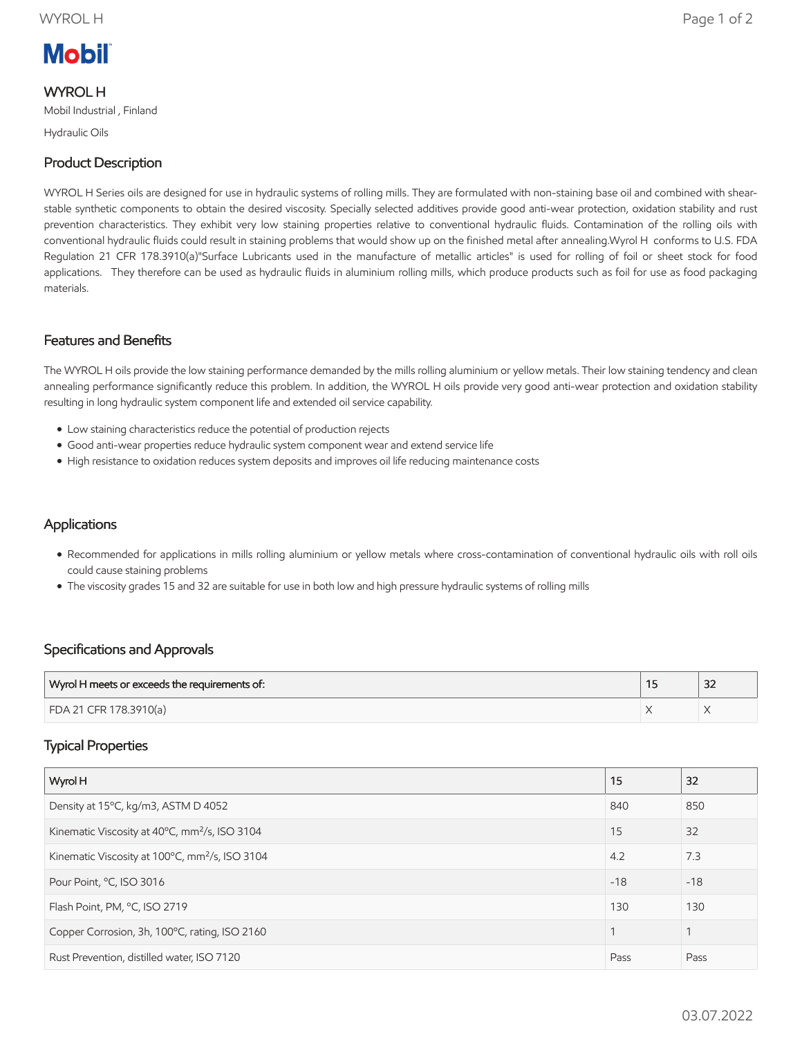# **Mobil**

#### WYROL H

Mobil Industrial , Finland

Hydraulic Oils

## Product Description

WYROL H Series oils are designed for use in hydraulic systems of rolling mills. They are formulated with non-staining base oil and combined with shearstable synthetic components to obtain the desired viscosity. Specially selected additives provide good anti-wear protection, oxidation stability and rust prevention characteristics. They exhibit very low staining properties relative to conventional hydraulic fluids. Contamination of the rolling oils with conventional hydraulic fluids could result in staining problems that would show up on the finished metal after annealing.Wyrol H conforms to U.S. FDA Regulation 21 CFR 178.3910(a)"Surface Lubricants used in the manufacture of metallic articles" is used for rolling of foil or sheet stock for food applications. They therefore can be used as hydraulic fluids in aluminium rolling mills, which produce products such as foil for use as food packaging materials.

#### Features and Benefits

The WYROL H oils provide the low staining performance demanded by the mills rolling aluminium or yellow metals. Their low staining tendency and clean annealing performance significantly reduce this problem. In addition, the WYROL H oils provide very good anti-wear protection and oxidation stability resulting in long hydraulic system component life and extended oil service capability.

- Low staining characteristics reduce the potential of production rejects
- Good anti-wear properties reduce hydraulic system component wear and extend service life
- High resistance to oxidation reduces system deposits and improves oil life reducing maintenance costs

### **Applications**

- Recommended for applications in mills rolling aluminium or yellow metals where cross-contamination of conventional hydraulic oils with roll oils could cause staining problems
- The viscosity grades 15 and 32 are suitable for use in both low and high pressure hydraulic systems of rolling mills

### Specifications and Approvals

| Wyrol H meets or exceeds the requirements of: | $\sim$<br>ےر |
|-----------------------------------------------|--------------|
| FDA 21 CFR 178.3910(a)                        |              |

### Typical Properties

| Wyrol H                                                    | 15    | 32    |
|------------------------------------------------------------|-------|-------|
| Density at 15°C, kg/m3, ASTM D 4052                        | 840   | 850   |
| Kinematic Viscosity at 40°C, mm <sup>2</sup> /s, ISO 3104  | 15    | 32    |
| Kinematic Viscosity at 100°C, mm <sup>2</sup> /s, ISO 3104 | 4.2   | 7.3   |
| Pour Point, °C, ISO 3016                                   | $-18$ | $-18$ |
| Flash Point, PM, °C, ISO 2719                              | 130   | 130   |
| Copper Corrosion, 3h, 100°C, rating, ISO 2160              |       |       |
| Rust Prevention, distilled water, ISO 7120                 | Pass  | Pass  |